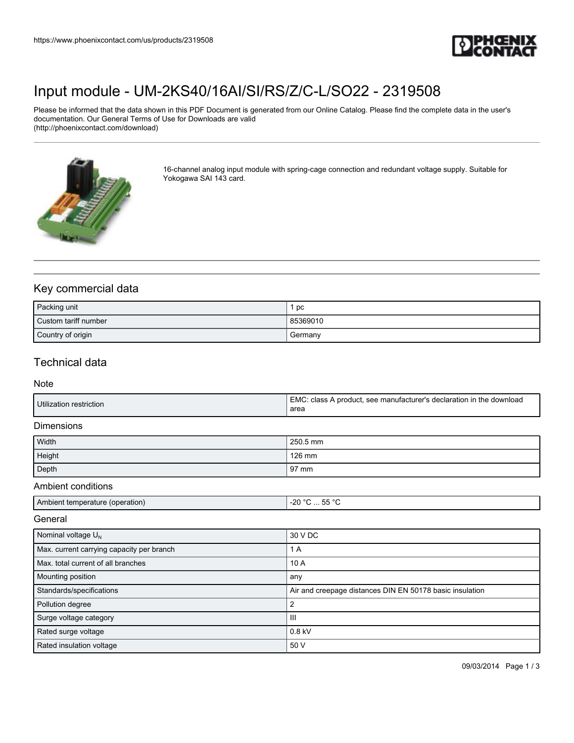

# [Input module - UM-2KS40/16AI/SI/RS/Z/C-L/SO22 - 2319508](https://www.phoenixcontact.com/us/products/2319508)

Please be informed that the data shown in this PDF Document is generated from our Online Catalog. Please find the complete data in the user's documentation. Our General Terms of Use for Downloads are valid (http://phoenixcontact.com/download)



16-channel analog input module with spring-cage connection and redundant voltage supply. Suitable for Yokogawa SAI 143 card.

## Key commercial data

| Packing unit         | pc       |
|----------------------|----------|
| Custom tariff number | 85369010 |
| Country of origin    | Germany  |

## Technical data

#### Note

| Utilization restriction | I EMC: class A product, see manufacturer's declaration in the download<br>area |
|-------------------------|--------------------------------------------------------------------------------|
|                         |                                                                                |

### **Dimensions**

| Width  | 250.5 mm       |
|--------|----------------|
| Height | 126 mm         |
| Depth  | $\sqrt{97}$ mm |

#### Ambient conditions

| Ambient temperature (operation) | $F = 0$<br>∩ר.<br><u></u><br>-20<br>. |
|---------------------------------|---------------------------------------|

#### General

| Nominal voltage $U_N$                     | 30 V DC                                                  |
|-------------------------------------------|----------------------------------------------------------|
| Max. current carrying capacity per branch | 1 A                                                      |
| Max, total current of all branches        | 10A                                                      |
| Mounting position                         | any                                                      |
| Standards/specifications                  | Air and creepage distances DIN EN 50178 basic insulation |
| Pollution degree                          |                                                          |
| Surge voltage category                    | Ш                                                        |
| Rated surge voltage                       | $0.8$ kV                                                 |
| Rated insulation voltage                  | 50 V                                                     |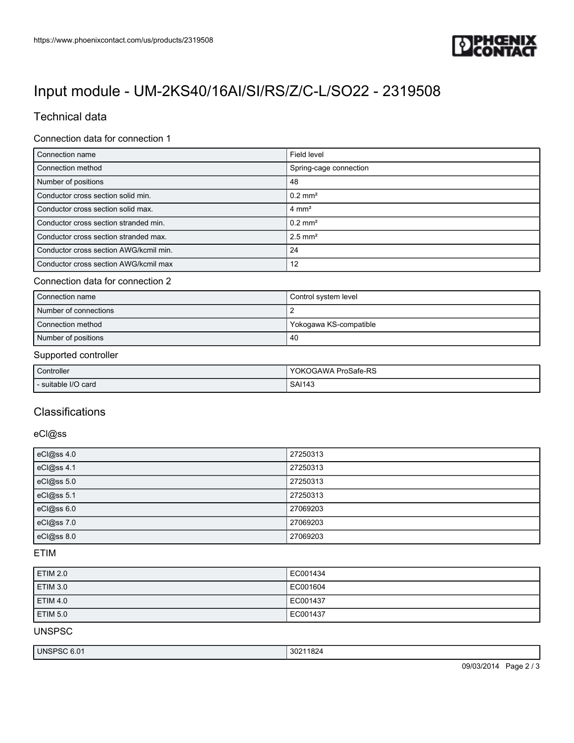

# [Input module - UM-2KS40/16AI/SI/RS/Z/C-L/SO22 - 2319508](https://www.phoenixcontact.com/us/products/2319508)

# Technical data

## Connection data for connection 1

| Connection name                        | Field level            |
|----------------------------------------|------------------------|
| Connection method                      | Spring-cage connection |
| Number of positions                    | 48                     |
| Conductor cross section solid min.     | $0.2$ mm <sup>2</sup>  |
| Conductor cross section solid max.     | $4 \text{ mm}^2$       |
| Conductor cross section stranded min.  | $0.2$ mm <sup>2</sup>  |
| Conductor cross section stranded max.  | $2.5$ mm <sup>2</sup>  |
| Conductor cross section AWG/kcmil min. | 24                     |
| Conductor cross section AWG/kcmil max  | 12                     |

## Connection data for connection 2

| Connection name       | Control system level   |
|-----------------------|------------------------|
| Number of connections |                        |
| Connection method     | Yokogawa KS-compatible |
| Number of positions   | 40                     |

#### Supported controller

| Controller          | <b>YOKOGAWA ProSafe-RS</b> |
|---------------------|----------------------------|
| - suitable I/O card | <b>SAI143</b>              |

## **Classifications**

### eCl@ss

| eCl@ss 4.0 | 27250313 |
|------------|----------|
| eCl@ss 4.1 | 27250313 |
| eCl@ss 5.0 | 27250313 |
| eCl@ss 5.1 | 27250313 |
| eCl@ss 6.0 | 27069203 |
| eCl@ss 7.0 | 27069203 |
| eCl@ss 8.0 | 27069203 |

## ETIM

| <b>ETIM 2.0</b> | EC001434 |
|-----------------|----------|
| <b>ETIM 3.0</b> | EC001604 |
| <b>ETIM 4.0</b> | EC001437 |
| ETIM 5.0        | EC001437 |

UNSPSC

|  | UN.<br>ov.<br>v.v<br>. | . .<br>JU -<br>1 U Z |
|--|------------------------|----------------------|
|--|------------------------|----------------------|